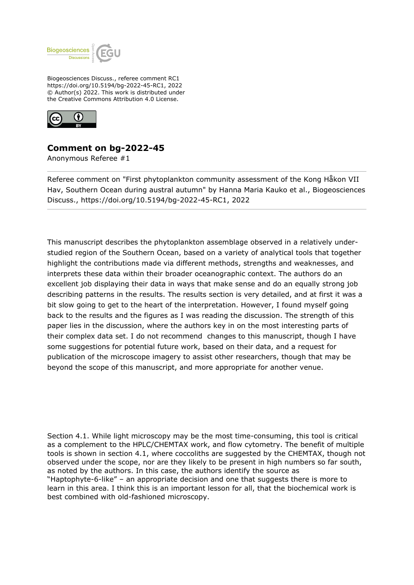

Biogeosciences Discuss., referee comment RC1 https://doi.org/10.5194/bg-2022-45-RC1, 2022 © Author(s) 2022. This work is distributed under the Creative Commons Attribution 4.0 License.



## **Comment on bg-2022-45**

Anonymous Referee #1

Referee comment on "First phytoplankton community assessment of the Kong Håkon VII Hav, Southern Ocean during austral autumn" by Hanna Maria Kauko et al., Biogeosciences Discuss., https://doi.org/10.5194/bg-2022-45-RC1, 2022

This manuscript describes the phytoplankton assemblage observed in a relatively understudied region of the Southern Ocean, based on a variety of analytical tools that together highlight the contributions made via different methods, strengths and weaknesses, and interprets these data within their broader oceanographic context. The authors do an excellent job displaying their data in ways that make sense and do an equally strong job describing patterns in the results. The results section is very detailed, and at first it was a bit slow going to get to the heart of the interpretation. However, I found myself going back to the results and the figures as I was reading the discussion. The strength of this paper lies in the discussion, where the authors key in on the most interesting parts of their complex data set. I do not recommend changes to this manuscript, though I have some suggestions for potential future work, based on their data, and a request for publication of the microscope imagery to assist other researchers, though that may be beyond the scope of this manuscript, and more appropriate for another venue.

Section 4.1. While light microscopy may be the most time-consuming, this tool is critical as a complement to the HPLC/CHEMTAX work, and flow cytometry. The benefit of multiple tools is shown in section 4.1, where coccoliths are suggested by the CHEMTAX, though not observed under the scope, nor are they likely to be present in high numbers so far south, as noted by the authors. In this case, the authors identify the source as "Haptophyte-6-like" – an appropriate decision and one that suggests there is more to learn in this area. I think this is an important lesson for all, that the biochemical work is best combined with old-fashioned microscopy.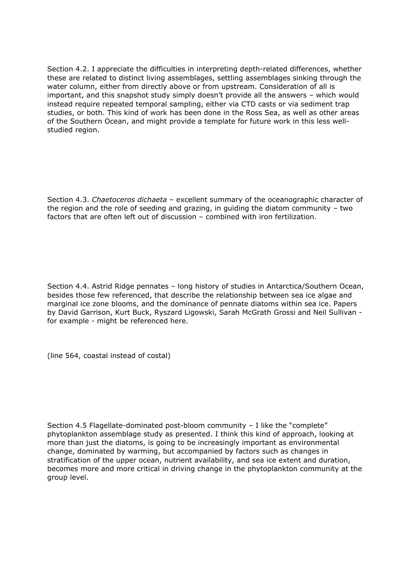Section 4.2. I appreciate the difficulties in interpreting depth-related differences, whether these are related to distinct living assemblages, settling assemblages sinking through the water column, either from directly above or from upstream. Consideration of all is important, and this snapshot study simply doesn't provide all the answers – which would instead require repeated temporal sampling, either via CTD casts or via sediment trap studies, or both. This kind of work has been done in the Ross Sea, as well as other areas of the Southern Ocean, and might provide a template for future work in this less wellstudied region.

Section 4.3. *Chaetoceros dichaeta* – excellent summary of the oceanographic character of the region and the role of seeding and grazing, in guiding the diatom community – two factors that are often left out of discussion – combined with iron fertilization.

Section 4.4. Astrid Ridge pennates – long history of studies in Antarctica/Southern Ocean, besides those few referenced, that describe the relationship between sea ice algae and marginal ice zone blooms, and the dominance of pennate diatoms within sea ice. Papers by David Garrison, Kurt Buck, Ryszard Ligowski, Sarah McGrath Grossi and Neil Sullivan for example - might be referenced here.

(line 564, coastal instead of costal)

Section 4.5 Flagellate-dominated post-bloom community – I like the "complete" phytoplankton assemblage study as presented. I think this kind of approach, looking at more than just the diatoms, is going to be increasingly important as environmental change, dominated by warming, but accompanied by factors such as changes in stratification of the upper ocean, nutrient availability, and sea ice extent and duration, becomes more and more critical in driving change in the phytoplankton community at the group level.